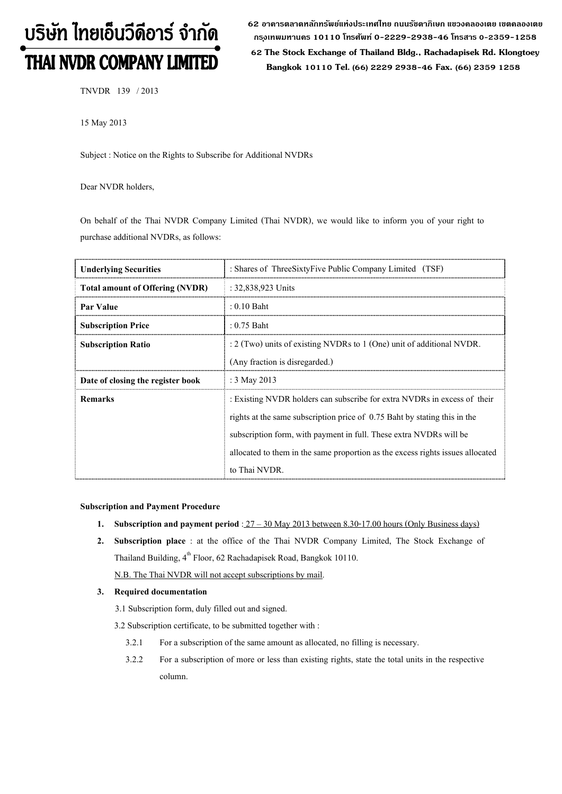# บริษัท ไทยเอ็นวีดีอาร์ จำกัด THAI NVDR COMPANY LIMITED

**62 อาคารตลาดหลักทรัพย์แห่งประเทศไทย ถนนรัชดาภิเษก แขวงคลองเตย เขตคลองเตย กร ุงเทพมหานคร 10110 โทรศัพท์ 0-2229-2938-46 โทรสาร 0-2359-1258**

 **62 The Stock Exchange of Thailand Bldg., Rachadapisek Rd. Klongtoey Bangkok 10110 Tel. (66) 2229 2938-46 Fax. (66) 2359 1258**

TNVDR 139 / 2013

15 May 2013

Subject : Notice on the Rights to Subscribe for Additional NVDRs

Dear NVDR holders,

On behalf of the Thai NVDR Company Limited (Thai NVDR), we would like to inform you of your right to purchase additional NVDRs, as follows:

| <b>Underlying Securities</b>           | : Shares of ThreeSixtyFive Public Company Limited (TSF)                        |  |
|----------------------------------------|--------------------------------------------------------------------------------|--|
| <b>Total amount of Offering (NVDR)</b> | : 32,838,923 Units                                                             |  |
| <b>Par Value</b>                       | $: 0.10$ Baht                                                                  |  |
| <b>Subscription Price</b>              | $: 0.75$ Baht                                                                  |  |
| <b>Subscription Ratio</b>              | $\approx$ 2 (Two) units of existing NVDRs to 1 (One) unit of additional NVDR.  |  |
|                                        | (Any fraction is disregarded.)                                                 |  |
| Date of closing the register book      | : 3 May 2013                                                                   |  |
| <b>Remarks</b>                         | : Existing NVDR holders can subscribe for extra NVDRs in excess of their       |  |
|                                        | rights at the same subscription price of 0.75 Baht by stating this in the      |  |
|                                        | subscription form, with payment in full. These extra NVDRs will be             |  |
|                                        | allocated to them in the same proportion as the excess rights issues allocated |  |
|                                        | to Thai NVDR.                                                                  |  |

### **Subscription and Payment Procedure**

- **1. Subscription and payment period** : 27 30 May 2013 between 8.30-17.00 hours (Only Business days)
- **2. Subscription place** : at the office of the Thai NVDR Company Limited, The Stock Exchange of Thailand Building, 4<sup>th</sup> Floor, 62 Rachadapisek Road, Bangkok 10110. N.B. The Thai NVDR will not accept subscriptions by mail.

## **3. Required documentation**

- 3.1 Subscription form, duly filled out and signed.
- 3.2 Subscription certificate, to be submitted together with :
	- 3.2.1 For a subscription of the same amount as allocated, no filling is necessary.
	- 3.2.2 For a subscription of more or less than existing rights, state the total units in the respective column.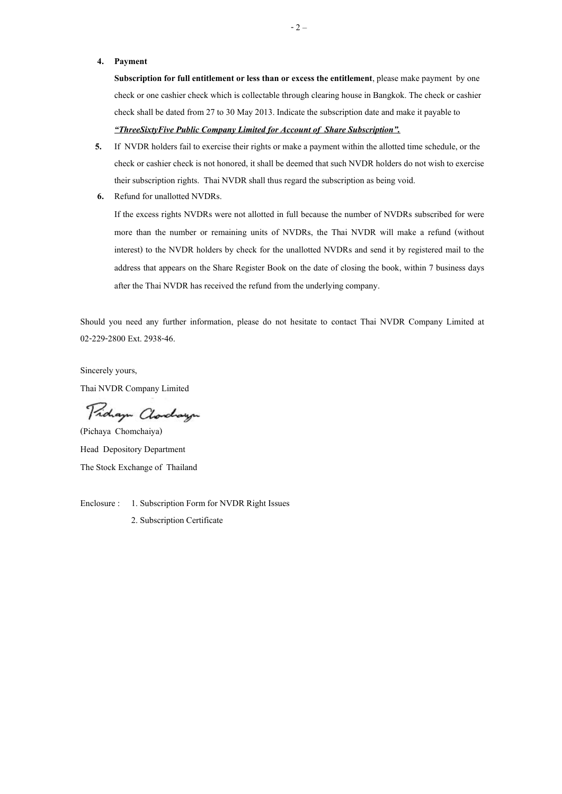### **4. Payment**

**Subscription for full entitlement or less than or excess the entitlement**, please make payment by one check or one cashier check which is collectable through clearing house in Bangkok. The check or cashier check shall be dated from 27 to 30 May 2013. Indicate the subscription date and make it payable to

*"ThreeSixtyFive Public Company Limited for Account of Share Subscription".*

- **5.** If NVDR holders fail to exercise their rights or make a payment within the allotted time schedule, or the check or cashier check is not honored, it shall be deemed that such NVDR holders do not wish to exercise their subscription rights. Thai NVDR shall thus regard the subscription as being void.
- **6.** Refund for unallotted NVDRs.

If the excess rights NVDRs were not allotted in full because the number of NVDRs subscribed for were more than the number or remaining units of NVDRs, the Thai NVDR will make a refund (without interest) to the NVDR holders by check for the unallotted NVDRs and send it by registered mail to the address that appears on the Share Register Book on the date of closing the book, within 7 business days after the Thai NVDR has received the refund from the underlying company.

Should you need any further information, please do not hesitate to contact Thai NVDR Company Limited at 02-229-2800 Ext. 2938-46.

Sincerely yours, Thai NVDR Company Limited

Pidaya Clarchaya

(Pichaya Chomchaiya) Head Depository Department The Stock Exchange of Thailand

Enclosure : 1. Subscription Form for NVDR Right Issues 2. Subscription Certificate